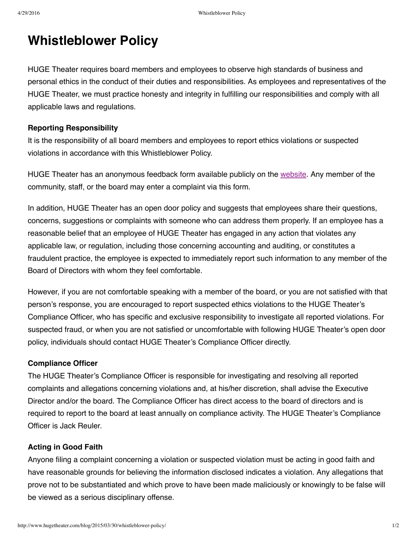# **Whistleblower Policy**

HUGE Theater requires board members and employees to observe high standards of business and personal ethics in the conduct of their duties and responsibilities. As employees and representatives of the HUGE Theater, we must practice honesty and integrity in fulfilling our responsibilities and comply with all applicable laws and regulations.

### **Reporting Responsibility**

It is the responsibility of all board members and employees to report ethics violations or suspected violations in accordance with this Whistleblower Policy.

HUGE Theater has an anonymous feedback form available publicly on the [website.](http://www.hugetheater.com/contact/) Any member of the community, staff, or the board may enter a complaint via this form.

In addition, HUGE Theater has an open door policy and suggests that employees share their questions, concerns, suggestions or complaints with someone who can address them properly. If an employee has a reasonable belief that an employee of HUGE Theater has engaged in any action that violates any applicable law, or regulation, including those concerning accounting and auditing, or constitutes a fraudulent practice, the employee is expected to immediately report such information to any member of the Board of Directors with whom they feel comfortable.

However, if you are not comfortable speaking with a member of the board, or you are not satisfied with that person's response, you are encouraged to report suspected ethics violations to the HUGE Theater's Compliance Officer, who has specific and exclusive responsibility to investigate all reported violations. For suspected fraud, or when you are not satisfied or uncomfortable with following HUGE Theater's open door policy, individuals should contact HUGE Theater's Compliance Officer directly.

#### **Compliance Officer**

The HUGE Theater's Compliance Officer is responsible for investigating and resolving all reported complaints and allegations concerning violations and, at his/her discretion, shall advise the Executive Director and/or the board. The Compliance Officer has direct access to the board of directors and is required to report to the board at least annually on compliance activity. The HUGE Theater's Compliance Officer is Jack Reuler.

#### **Acting in Good Faith**

Anyone filing a complaint concerning a violation or suspected violation must be acting in good faith and have reasonable grounds for believing the information disclosed indicates a violation. Any allegations that prove not to be substantiated and which prove to have been made maliciously or knowingly to be false will be viewed as a serious disciplinary offense.